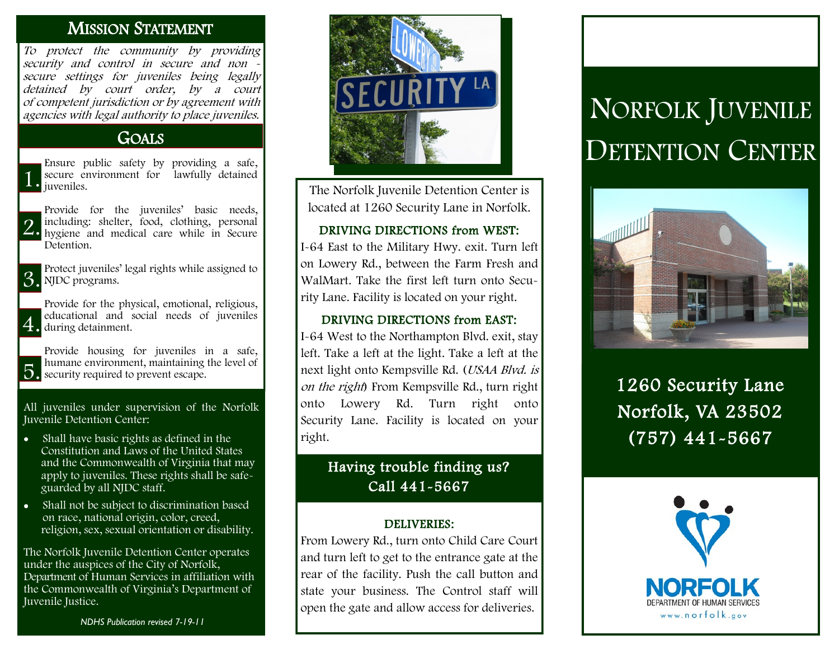## MISSION STATEMENT

To protect the community by providing security and control in secure and non secure settings for juveniles being legally detained by court order, by a court of competent jurisdiction or by agreement with agencies with legal authority to place juveniles.

## **GOALS**

1. Ensure public safety by providing a safe, secure environment for lawfully detained juveniles.

2. including: shelter, food, clothing, personal<br>
1. hygiene and medical care while in Secure Provide for the juveniles' basic needs, including: shelter, food, clothing, personal Detention.

3. Protect juveniles' legal rights while assigned to NJDC programs.

4. during detainment. Provide for the physical, emotional, religious, educational and social needs of juveniles

5. security required to prevent escape. Provide housing for juveniles in a safe, humane environment, maintaining the level of

All juveniles under supervision of the Norfolk Juvenile Detention Center:

- Shall have basic rights as defined in the Constitution and Laws of the United States and the Commonwealth of Virginia that may apply to juveniles. These rights shall be safe guarded by all NJDC staff.
- Shall not be subject to discrimination based on race, national origin, color, creed, religion, sex, sexual orientation or disability.

The Norfolk Juvenile Detention Center operates under the auspices of the City of Norfolk, Department of Human Services in affiliation with the Commonwealth of Virginia's Department of Juvenile Justice.

*NDHS Publication revised 7-19-11*



The Norfolk Juvenile Detention Center is located at 1260 Security Lane in Norfolk.

#### DRIVING DIRECTIONS from WEST:

I-64 East to the Military Hwy. exit. Turn left on Lowery Rd., between the Farm Fresh and WalMart. Take the first left turn onto Security Lane. Facility is located on your right.

#### DRIVING DIRECTIONS from EAST:

I-64 West to the Northampton Blvd. exit, stay left. Take a left at the light. Take a left at the next light onto Kempsville Rd. (USAA Blvd. is on the right) From Kempsville Rd., turn right onto Lowery Rd. Turn right onto Security Lane. Facility is located on your right.

## Having trouble finding us? Call 441-5667

#### DELIVERIES:

From Lowery Rd., turn onto Child Care Court and turn left to get to the entrance gate at the rear of the facility. Push the call button and state your business. The Control staff will open the gate and allow access for deliveries.

# NORFOLK JUVENILE DETENTION CENTER



1260 Security Lane Norfolk, VA 23502 (757) 441-5667